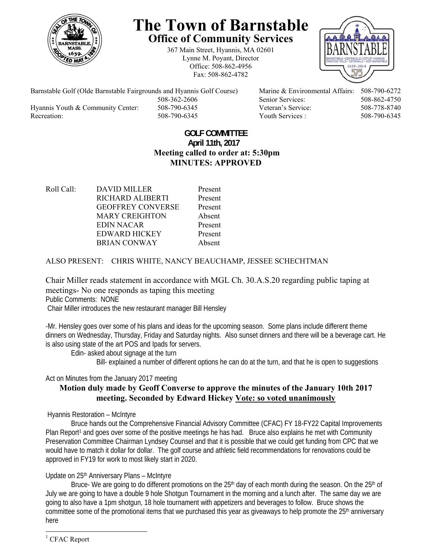

# **The Town of Barnstable Office of Community Services**

367 Main Street, Hyannis, MA 02601 Lynne M. Poyant, Director Office: 508-862-4956 Fax: 508-862-4782



Barnstable Golf (Olde Barnstable Fairgrounds and Hyannis Golf Course) Marine & Environmental Affairs: 508-790-6272 508-362-2606 Senior Services: 508-862-4750 Hyannis Youth & Community Center: 508-790-6345 Veteran's Service: 508-778-8740 Recreation: 508-790-6345 Youth Services : 508-790-6345 S08-790-6345

# **GOLF COMMITTEE April 11th, 2017 Meeting called to order at: 5:30pm MINUTES: APPROVED**

Roll Call: DAVID MILLER Present RICHARD ALIBERTI Present GEOFFREY CONVERSE Present MARY CREIGHTON Absent EDIN NACAR Present EDWARD HICKEY Present BRIAN CONWAY Absent

ALSO PRESENT: CHRIS WHITE, NANCY BEAUCHAMP, JESSEE SCHECHTMAN

Chair Miller reads statement in accordance with MGL Ch. 30.A.S.20 regarding public taping at meetings- No one responds as taping this meeting Public Comments: NONE

Chair Miller introduces the new restaurant manager Bill Hensley

-Mr. Hensley goes over some of his plans and ideas for the upcoming season. Some plans include different theme dinners on Wednesday, Thursday, Friday and Saturday nights. Also sunset dinners and there will be a beverage cart. He is also using state of the art POS and Ipads for servers.

Edin- asked about signage at the turn

Bill- explained a number of different options he can do at the turn, and that he is open to suggestions

## Act on Minutes from the January 2017 meeting

# **Motion duly made by Geoff Converse to approve the minutes of the January 10th 2017 meeting. Seconded by Edward Hickey Vote: so voted unanimously**

Hyannis Restoration – McIntyre

 Bruce hands out the Comprehensive Financial Advisory Committee (CFAC) FY 18-FY22 Capital Improvements Plan Report<sup>1</sup> and goes over some of the positive meetings he has had. Bruce also explains he met with Community Preservation Committee Chairman Lyndsey Counsel and that it is possible that we could get funding from CPC that we would have to match it dollar for dollar. The golf course and athletic field recommendations for renovations could be approved in FY19 for work to most likely start in 2020.

## Update on 25<sup>th</sup> Anniversary Plans – McIntyre

Bruce- We are going to do different promotions on the 25<sup>th</sup> day of each month during the season. On the 25<sup>th</sup> of July we are going to have a double 9 hole Shotgun Tournament in the morning and a lunch after. The same day we are going to also have a 1pm shotgun, 18 hole tournament with appetizers and beverages to follow. Bruce shows the committee some of the promotional items that we purchased this year as giveaways to help promote the 25<sup>th</sup> anniversary here

l